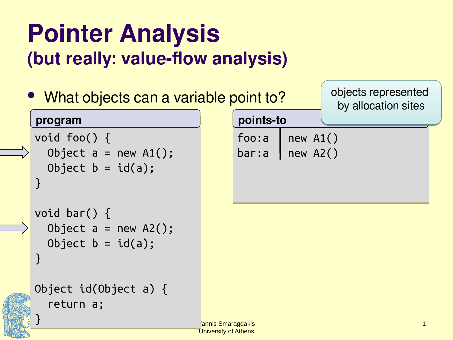### **Pointer Analysis (but really: value-flow analysis)**

| • What objects can a variable point to?                            | objects represented<br>by allocation sites |                              |                  |              |
|--------------------------------------------------------------------|--------------------------------------------|------------------------------|------------------|--------------|
| program                                                            |                                            | points-to                    |                  |              |
| void foo() $\{$<br>Object $a = new A1()$ ;<br>Object $b = id(a)$ ; |                                            | foo:a<br>$bar: a$   new A2() | $\vert$ new A1() |              |
| void bar() $\{$<br>Object $a = new A2()$ ;<br>Object $b = id(a)$ ; |                                            |                              |                  |              |
| Object $id(Object a)$ {<br>return a;                               | 'annis Smaragdakis                         |                              |                  | $\mathbf{1}$ |

University of Athens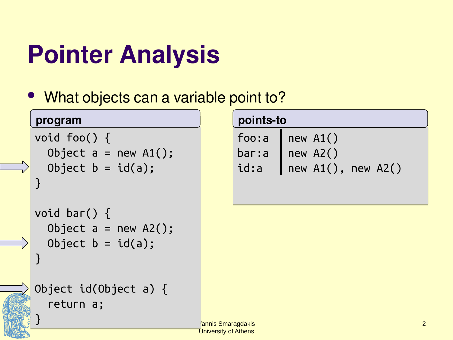## **Pointer Analysis**

• What objects can a variable point to?

#### **program**

}

}

}

```
void foo() {
void foo() {
Object a = new A1();
Object b = id(a);
}
}
```

```
void bar() {
void bar() {
 Object a = new A2();
 Object a = new A2();
Object b = id(a);
}
```

```
Object id(Object a) {
Object id(Object a) {
 return a;
 return a;
```

|        | points-to              |  |  |  |
|--------|------------------------|--|--|--|
| foo: a | $\vert$ new A1()       |  |  |  |
| bar: a | $\overline{)$ new A2() |  |  |  |
| id:a   | $new$ A1(), new A2()   |  |  |  |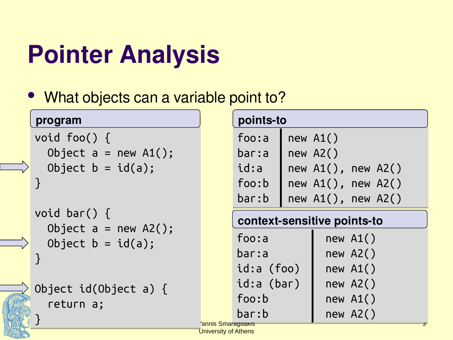## **Pointer Analysis**

• What objects can a variable point to?

#### **program**

}

}

}

```
void foo() {
void foo() {
Object a = new A1();
Object b = id(a);
}
}
```

```
void bar() {
void bar() {
 Object a = new A2();
 Object a = new A2();
Object b = id(a);
}
```
Object id(Object a) { Object id(Object a) { return a; return a;

|                             | points-to |              |          |          |  |
|-----------------------------|-----------|--------------|----------|----------|--|
| foo:a                       |           | new A1()     |          |          |  |
| bar:a                       |           | new A2()     |          |          |  |
| id:a                        |           | $new A1()$ , |          | new A2() |  |
| foo:b                       |           | new $A1()$ , |          | new A2() |  |
| bar:b                       |           | $new A1()$ , |          | new A2() |  |
| context-sensitive points-to |           |              |          |          |  |
|                             |           |              |          |          |  |
| foo:a                       |           |              | new A1() |          |  |
| bar:a                       |           |              | new A2() |          |  |
| id:a (foo)                  |           |              | new A1() |          |  |
| id:a (bar)                  |           |              | new A2() |          |  |

Yannis Smaragdakis bar:b new A2() bar:b new A2()

University of Athens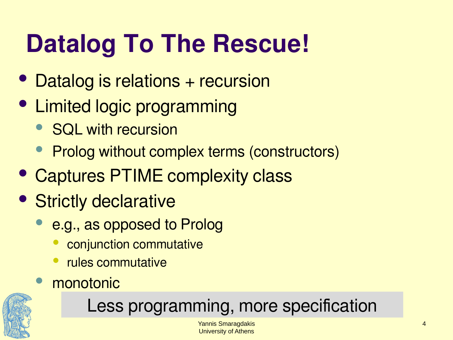## **Datalog To The Rescue!**

- Datalog is relations + recursion
- Limited logic programming
	- SQL with recursion
	- **Prolog without complex terms (constructors)**
- Captures PTIME complexity class
- Strictly declarative
	- e.g., as opposed to Prolog
		- conjunction commutative
		- rules commutative
	- monotonic



#### Less programming, more specification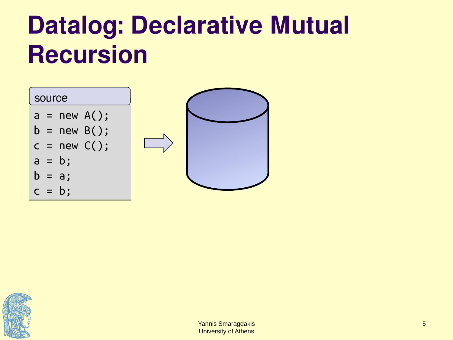

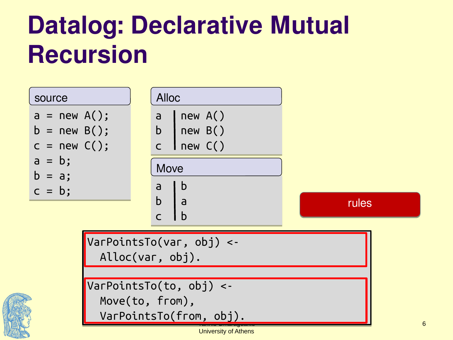| source<br>$a = new A();$<br>$b = new B();$<br>$c = new C();$<br>$a = b;$<br>$b = a;$ | <b>Alloc</b><br>$\vert$ new A()<br>a<br>$b \vert$ new $B()$<br>$C$   new $C()$<br>Move<br>b<br>a |       |
|--------------------------------------------------------------------------------------|--------------------------------------------------------------------------------------------------|-------|
| $c = b$ ;                                                                            | $\overline{a}$<br>b<br>l b<br>$\mathcal{C}$                                                      | rules |
|                                                                                      | $V$ ar $PointsTo(var, obj)$ <-<br>$\text{Alloc}(var, obj).$                                      |       |
|                                                                                      | $\sqrt{VarPointsTo(to, obj)}$ <-<br>Move(to, from),<br>VarPointsTo(from, obj).                   |       |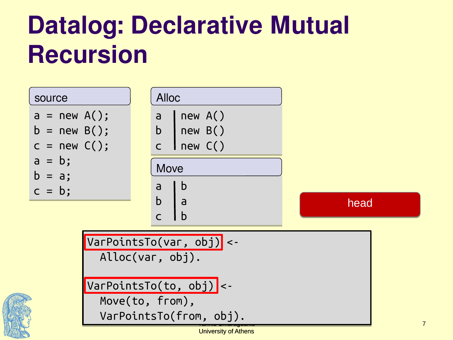| source<br>$a = new A();$<br>$b = new B();$<br>$c = new C();$                                                                                     | <b>Alloc</b><br>$\vert$ new A()<br>a<br>$b$   new $B()$<br>$c$   new $C()$ |      |  |  |
|--------------------------------------------------------------------------------------------------------------------------------------------------|----------------------------------------------------------------------------|------|--|--|
| $a = b;$<br>$b = a;$<br>$c = b;$                                                                                                                 | Move<br>b<br>a<br>$b^-$<br>$\overline{a}$<br>l b<br>$\mathsf{C}$           | head |  |  |
| VarPointsTo(var, obj) <-<br>Alloc(var, obj).<br>$\boxed{\texttt{VarPointsTo}(\texttt{to, obj)}$ <-<br>Move(to, from),<br>VarPointsTo(from, obj). |                                                                            |      |  |  |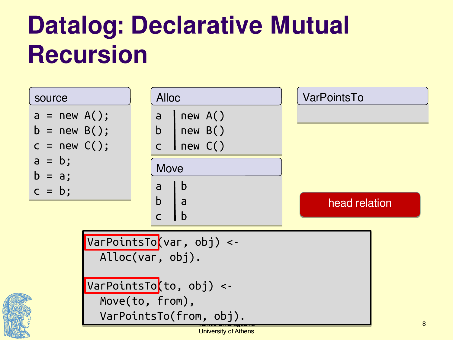| source                                                                                  | <b>Alloc</b>                                                                                                                            | VarPointsTo   |
|-----------------------------------------------------------------------------------------|-----------------------------------------------------------------------------------------------------------------------------------------|---------------|
| $a = new A();$<br>$b = new B();$<br>$c = new C();$<br>$a = b;$<br>$b = a;$<br>$c = b$ ; | new A()<br>$\mathsf{a}$<br>$b$   new $B()$<br>$c$   new $C()$<br>Move<br>$\mathsf b$<br>a<br>b<br>l a<br>$\overline{b}$<br>$\mathsf{C}$ | head relation |
|                                                                                         | VarPointsTo(var, obj) <-<br>Alloc(var, obj).<br>VarPointsTo <i>(to, obj)</i> <-<br>Move(to, from),<br>VarPointsTo(from, obj).           | 8             |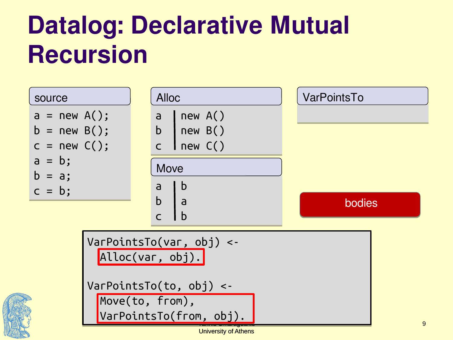| source                                                                                                                    | <b>Alloc</b>                                                                                    | VarPointsTo |
|---------------------------------------------------------------------------------------------------------------------------|-------------------------------------------------------------------------------------------------|-------------|
| $a = new A();$<br>$b = new B();$<br>$c = new C();$<br>$a = b;$<br>$b = a;$<br>$c = b;$                                    | new A()<br>a<br>$b$   new $B()$<br>$C$ new $C()$<br><b>Move</b><br>b<br>a<br>$\mathbf b$<br>l a | bodies      |
| $VarPointsTo(var, obj)$ <-<br>Alloc(var, obj).<br>$VarPointsTo(to, obj)$ <-<br>Move(to, from),<br>VarPointsTo(from, obj). | $\boldsymbol{9}$                                                                                |             |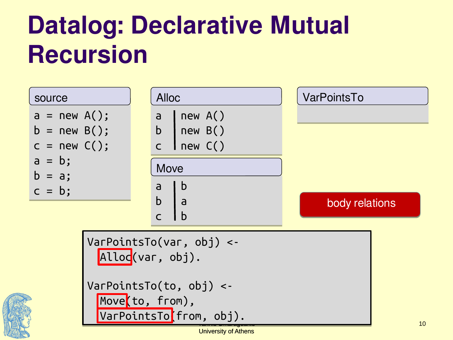| source                                                                      | <b>Alloc</b>                                                                                                              | VarPointsTo    |
|-----------------------------------------------------------------------------|---------------------------------------------------------------------------------------------------------------------------|----------------|
| $a = new A();$<br>$b = new B();$<br>$c = new C();$<br>$a = b$ ;<br>$b = a;$ | new A()<br>a<br>$b$ new $B()$<br>$C$ new $C()$<br>Move                                                                    |                |
| $c = b$ ;                                                                   | $\mathsf b$<br>a<br>$\mathsf{b}$<br> a <br>  b<br>$\mathsf{C}$                                                            | body relations |
|                                                                             | $VarPointsTo(var, obj)$ <-<br>Alloc(var, obj).<br>$VarPointsTo(to, obj)$ <-<br>Move(to, from),<br>VarPointsTo(from, obj). | $10\,$         |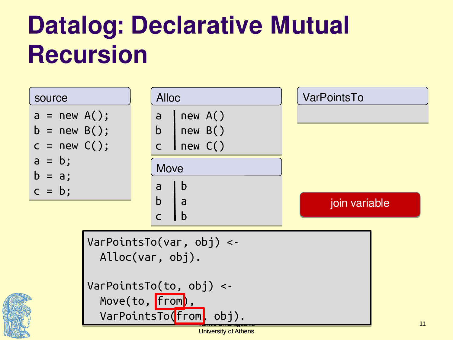| <b>Alloc</b>                                               | VarPointsTo                                                                                                                                            |
|------------------------------------------------------------|--------------------------------------------------------------------------------------------------------------------------------------------------------|
| new A()<br>a<br>$b$   new $B()$<br>$c$   new $C()$<br>Move |                                                                                                                                                        |
| $\mathbf b$<br>  a<br>$\mathsf b$<br>$\mathsf{C}$          | join variable                                                                                                                                          |
|                                                            |                                                                                                                                                        |
|                                                            | $\mathsf b$<br>a<br>$VarPointsTo(var, obj)$ <-<br>$\text{Alloc}(var, obj).$<br>$VarPointsTo(to, obj)$ <-<br>Move(to, from),<br>VarPointsTo(from, obj). |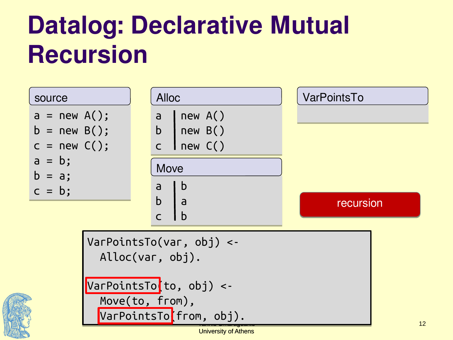| source                                                                                  | <b>Alloc</b>                                                                                                                                              | VarPointsTo |
|-----------------------------------------------------------------------------------------|-----------------------------------------------------------------------------------------------------------------------------------------------------------|-------------|
| $a = new A();$<br>$b = new B();$<br>$c = new C();$<br>$a = b;$<br>$b = a;$<br>$c = b$ ; | new A()<br>$\mathsf{a}$<br>$b$   new $B()$<br>$c$   new $C()$<br>Move<br>b<br>a<br>$\mathsf{b}$<br>l a<br>$\mathbf b$<br>$\mathsf{C}$                     | recursion   |
|                                                                                         | $VarPointsTo(var, obj)$ <-<br>$\text{Alloc}(var, obj).$<br>VarPointsTo <mark>(to, obj) &lt;-</mark><br>Move(to, from),<br>VarPointsTo <i>(from, obj).</i> | 12          |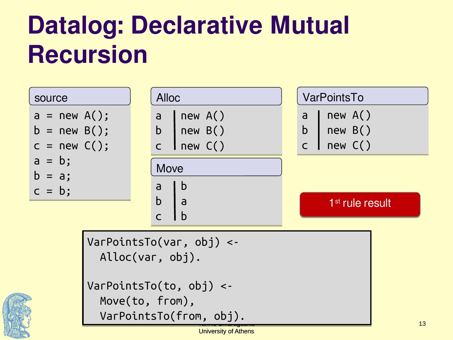| source                                             | <b>Alloc</b>                                                                                                                       | VarPointsTo                                     |
|----------------------------------------------------|------------------------------------------------------------------------------------------------------------------------------------|-------------------------------------------------|
| $a = new A();$<br>$b = new B();$<br>$c = new C();$ | new A()<br>$\mathsf{a}$<br>$b$   new $B()$<br>$C$   new $C()$                                                                      | new A()<br>a<br>b<br>new B()<br>$C$   new $C()$ |
| $a = b;$<br>$b = a;$<br>$c = b;$                   | Move<br>$\mathsf b$<br>a<br>$\mathbf b$<br>l a<br>$\mathbf b$<br>$\mathsf{C}$                                                      | 1 <sup>st</sup> rule result                     |
|                                                    | $VarPointsTo(var, obj)$ <-<br>$\text{Alloc}(var, obj).$<br>$VarPointsTo(to, obj)$ <-<br>Move(to, from),<br>VarPointsTo(from, obj). | 13                                              |

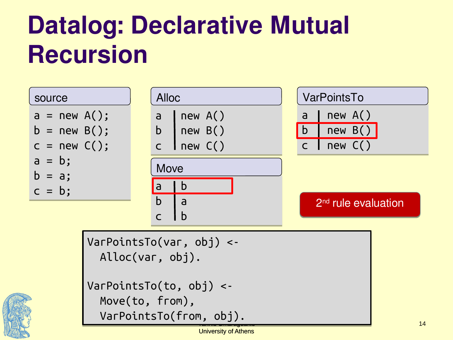

University of Athens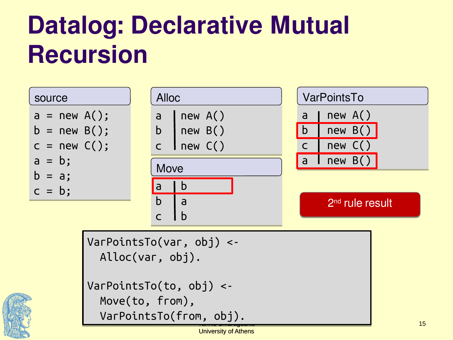

University of Athens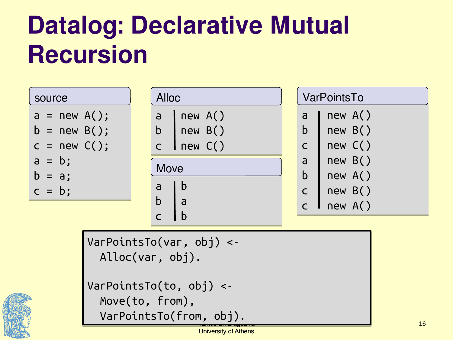| source                                             | <b>Alloc</b>                                                        | VarPointsTo                                                                                                 |
|----------------------------------------------------|---------------------------------------------------------------------|-------------------------------------------------------------------------------------------------------------|
| $a = new A();$<br>$b = new B();$<br>$c = new C();$ | new A()<br>a<br>$\mathsf b$<br>new B()<br>Inew C()<br>$\mathsf{C}$  | new A()<br>a<br>$\mathbf b$<br>new B()<br>new C()<br>$\mathsf{C}$                                           |
| $a = b;$<br>$b = a;$<br>$c = b$ ;                  | Move<br>l b<br>a<br>$\mathsf b$<br>$\overline{a}$<br>$\overline{C}$ | new B()<br>a<br>$\mathbf b$<br>new A()<br>new B()<br>$\overline{C}$<br>new A()<br>$\mathsf{C}$ $\mathsf{I}$ |



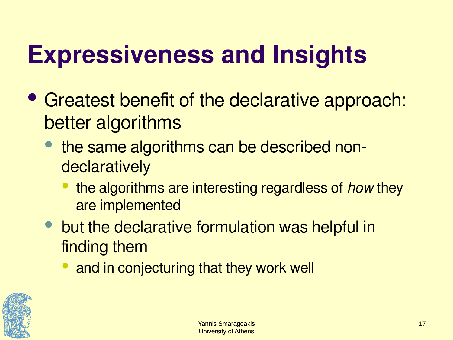## **Expressiveness and Insights**

- Greatest benefit of the declarative approach: better algorithms
	- the same algorithms can be described nondeclaratively
		- the algorithms are interesting regardless of how they are implemented
	- but the declarative formulation was helpful in finding them
		- and in conjecturing that they work well

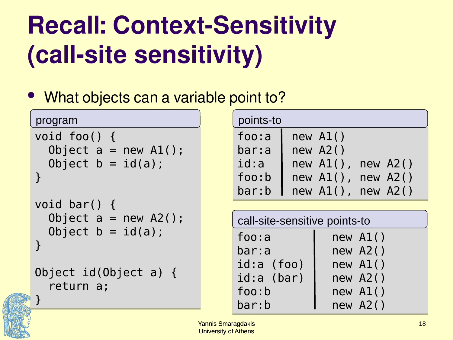## **Recall: Context-Sensitivity (call-site sensitivity)**

• What objects can a variable point to?

```
void foo() {
void foo() {
 Object a = new A1();
 Object a = new A1();
 Object b = id(a);
 Object b = id(a);
}
}
void bar() {
void bar() {
program
```

```
 Object a = new A2();
 Object a = new A2();
 Object b = id(a);
 Object b = id(a);
}
}
```

```
Object id(Object a) {
Object id(Object a) {
 return a;
 return a;
```
} }

| points-to |                         |  |
|-----------|-------------------------|--|
| foo: a    | new A1()                |  |
| bar:a     | $new$ A2()              |  |
| id:a      | new $AI()$ , new $A2()$ |  |
| foo:b     | new $AI()$ , new $A2()$ |  |
| bar:b     | new $AI()$ , new $A2()$ |  |

| call-site-sensitive points-to |            |  |  |
|-------------------------------|------------|--|--|
| foo: a                        | new A1()   |  |  |
| bar:a                         | $new$ A2() |  |  |
| $id:a$ (foo)                  | $new$ A1() |  |  |
| id:a (bar)                    | $new$ A2() |  |  |
| foo:b                         | $new$ A1() |  |  |
| bar:b                         | $new$ A2() |  |  |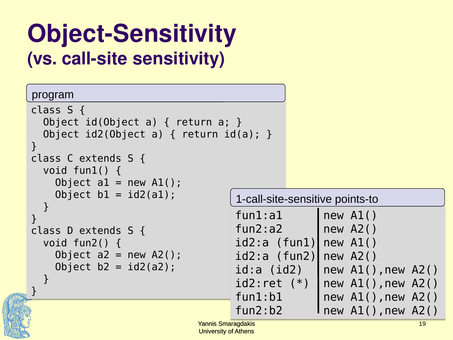### **Object-Sensitivity (vs. call-site sensitivity)**

#### program

```
class S {
class S {
 Object id(Object a) { return a; }
 Object id(Object a) { return a; }
 Object id2(Object a) { return id(a); }
 Object id2(Object a) { return id(a); }
}
}
class C extends S {
class C extends S {
 void fun1() {
 void fun1() {
Object al = new AI();
\text{Object } \text{b1} = \text{id2(a1)};
 }
 }
}
}
class D extends S {
class D extends S {
 void fun2() {
 void fun2() {
Object a2 = new A2();
\text{Object } b2 = id2(a2); }
 }
}
}
```

| 1-call-site-sensitive points-to |                                          |  |  |  |
|---------------------------------|------------------------------------------|--|--|--|
| fun1:a1                         | new A1()                                 |  |  |  |
| fun2:a2                         | new A2()                                 |  |  |  |
| $id2:a$ (funl)                  | new A1()                                 |  |  |  |
| $id2:a$ (fun2)                  | new A2()                                 |  |  |  |
| $id:a$ ( $id2$ )                | new $AI()$ , new $A2()$                  |  |  |  |
| $id2:ret (*)$                   |                                          |  |  |  |
| fun1:b1                         | new A1(), new A2()<br>new A1(), new A2() |  |  |  |
| fun2:b2                         | new A1(), new A2()                       |  |  |  |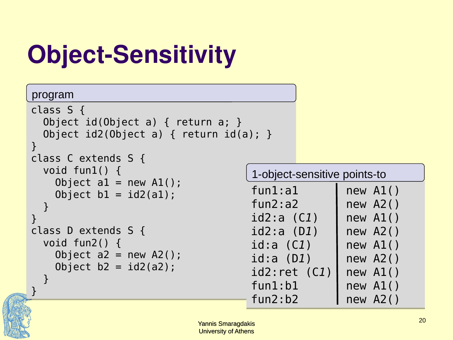# **Object-Sensitivity**

#### program

```
class S {
class S {
 Object id(Object a) { return a; }
 Object id(Object a) { return a; }
 Object id2(Object a) { return id(a); }
 Object id2(Object a) { return id(a); }
}
}
class C extends S {
class C extends S {
 void fun1() {
 void fun1() {
Object al = new AI();
\text{Object } \text{b1} = \text{id2(a1)};
 }
}
}
class D extends S {
class D extends S {
 void fun2() {
 void fun2() {
Object a2 = new A2();
\text{Object } b2 = id2(a2); }
 }
}
}
 }
```

| 1-object-sensitive points-to |            |  |  |
|------------------------------|------------|--|--|
| fun1:a1                      | new A1()   |  |  |
| fun2:a2                      | new A2()   |  |  |
| $id2:a$ $(C1)$               | new A1()   |  |  |
| id2:a(D1)                    | $new$ A2() |  |  |
| $id:a$ $(C1)$                | new A1()   |  |  |
| id:a (D1)                    | $new$ A2() |  |  |
| id2:ret(C1)                  | new A1()   |  |  |
| fun1:b1                      | new A1()   |  |  |
| fun2:b2                      | $new$ A2() |  |  |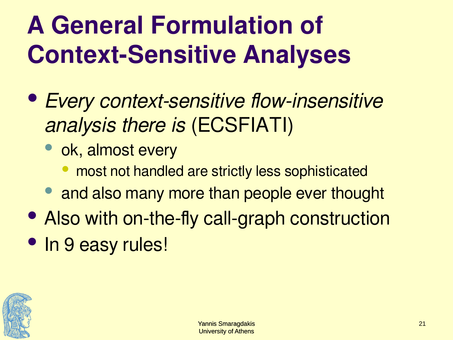## **A General Formulation of Context-Sensitive Analyses**

- Every context-sensitive flow-insensitive analysis there is (ECSFIATI)
	- ok, almost every
		- most not handled are strictly less sophisticated
	- and also many more than people ever thought
- Also with on-the-fly call-graph construction
- In 9 easy rules!

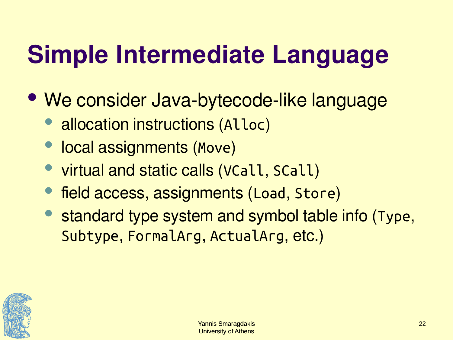## **Simple Intermediate Language**

- We consider Java-bytecode-like language
	- allocation instructions (Alloc)
	- local assignments (Move)
	- virtual and static calls (VCall, SCall)
	- field access, assignments (Load, Store)
	- standard type system and symbol table info (Type, Subtype, FormalArg, ActualArg, etc.)

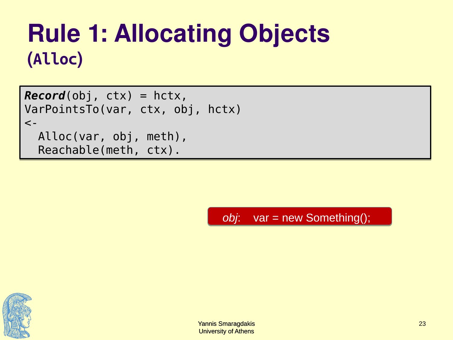### **Rule 1: Allocating Objects (Alloc)**

*Record*(obj, ctx) = hctx, *Record*(obj, ctx) = hctx, VarPointsTo(var, ctx, obj, hctx) VarPointsTo(var, ctx, obj, hctx)  $\lt$  - Alloc(var, obj, meth), Alloc(var, obj, meth), Reachable(meth, ctx). Reachable(meth, ctx).

*obj*: var = new Something();

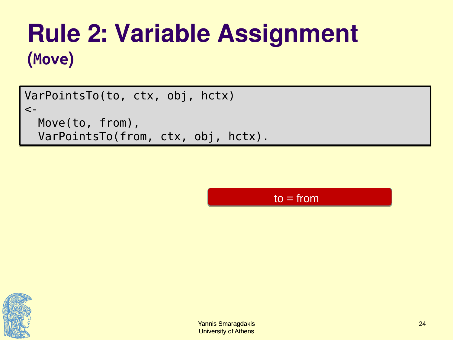### **Rule 2: Variable Assignment (Move)**

VarPointsTo(to, ctx, obj, hctx) VarPointsTo(to, ctx, obj, hctx)  $\lt$  - Move(to, from), Move(to, from), VarPointsTo(from, ctx, obj, hctx). VarPointsTo(from, ctx, obj, hctx).

 $to = from$ 

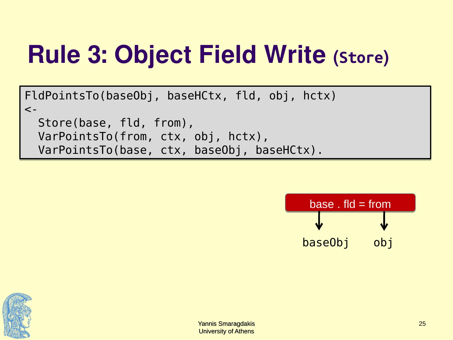## **Rule 3: Object Field Write (Store)**

FldPointsTo(baseObj, baseHCtx, fld, obj, hctx) FldPointsTo(baseObj, baseHCtx, fld, obj, hctx)  $\lt$  - Store(base, fld, from), Store(base, fld, from), VarPointsTo(from, ctx, obj, hctx), VarPointsTo(from, ctx, obj, hctx), VarPointsTo(base, ctx, baseObj, baseHCtx). VarPointsTo(base, ctx, baseObj, baseHCtx).



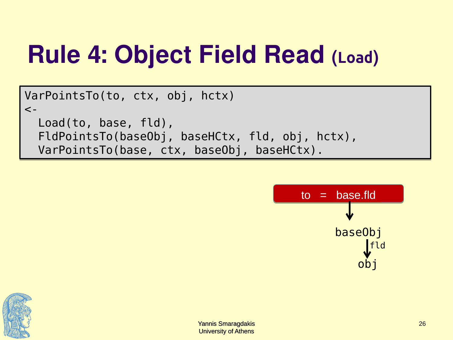## **Rule 4: Object Field Read (Load)**

```
VarPointsTo(to, ctx, obj, hctx)
VarPointsTo(to, ctx, obj, hctx)
\lt -
 Load(to, base, fld),
 Load(to, base, fld),
 FldPointsTo(baseObj, baseHCtx, fld, obj, hctx), 
 FldPointsTo(baseObj, baseHCtx, fld, obj, hctx), 
 VarPointsTo(base, ctx, baseObj, baseHCtx).
 VarPointsTo(base, ctx, baseObj, baseHCtx).
```


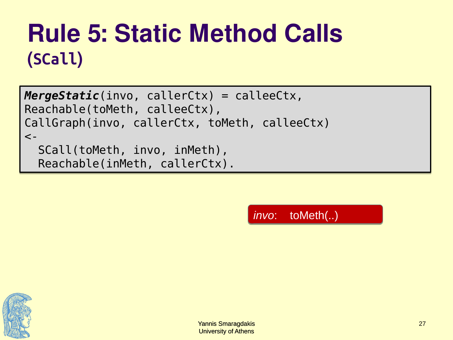## **Rule 5: Static Method Calls (SCall)**

```
MergeStatic(invo, callerCtx) = calleeCtx,
MergeStatic(invo, callerCtx) = calleeCtx,
Reachable(toMeth, calleeCtx),
Reachable(toMeth, calleeCtx),
CallGraph(invo, callerCtx, toMeth, calleeCtx)
CallGraph(invo, callerCtx, toMeth, calleeCtx)
\lt -
 SCall(toMeth, invo, inMeth),
 SCall(toMeth, invo, inMeth),
 Reachable(inMeth, callerCtx).
 Reachable(inMeth, callerCtx).
```
*invo*: toMeth(..)

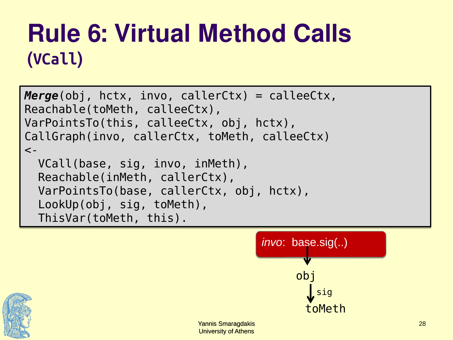### **Rule 6: Virtual Method Calls (VCall)**

```
Merge(obj, hctx, invo, callerCtx) = calleeCtx,
Merge(obj, hctx, invo, callerCtx) = calleeCtx,
Reachable(toMeth, calleeCtx),
Reachable(toMeth, calleeCtx),
VarPointsTo(this, calleeCtx, obj, hctx),
VarPointsTo(this, calleeCtx, obj, hctx),
CallGraph(invo, callerCtx, toMeth, calleeCtx)
CallGraph(invo, callerCtx, toMeth, calleeCtx)
\lt -
 VCall(base, sig, invo, inMeth),
 VCall(base, sig, invo, inMeth),
 Reachable(inMeth, callerCtx),
 Reachable(inMeth, callerCtx),
 VarPointsTo(base, callerCtx, obj, hctx),
 VarPointsTo(base, callerCtx, obj, hctx),
 LookUp(obj, sig, toMeth),
 LookUp(obj, sig, toMeth),
 ThisVar(toMeth, this).
 ThisVar(toMeth, this).
```


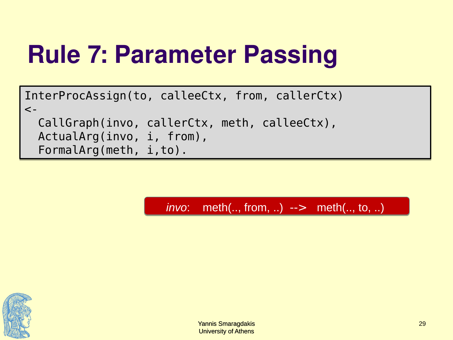## **Rule 7: Parameter Passing**

InterProcAssign(to, calleeCtx, from, callerCtx) InterProcAssign(to, calleeCtx, from, callerCtx)  $\lt$  - CallGraph(invo, callerCtx, meth, calleeCtx), CallGraph(invo, callerCtx, meth, calleeCtx), ActualArg(invo, i, from), ActualArg(invo, i, from), FormalArg(meth, i,to). FormalArg(meth, i,to).

*invo*: meth(.., from, ..) --> meth(.., to, ..)

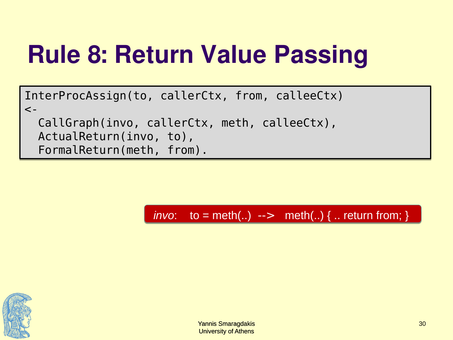## **Rule 8: Return Value Passing**

InterProcAssign(to, callerCtx, from, calleeCtx) InterProcAssign(to, callerCtx, from, calleeCtx)  $\lt$  - CallGraph(invo, callerCtx, meth, calleeCtx), CallGraph(invo, callerCtx, meth, calleeCtx), ActualReturn(invo, to), ActualReturn(invo, to), FormalReturn(meth, from). FormalReturn(meth, from).

 $$ 

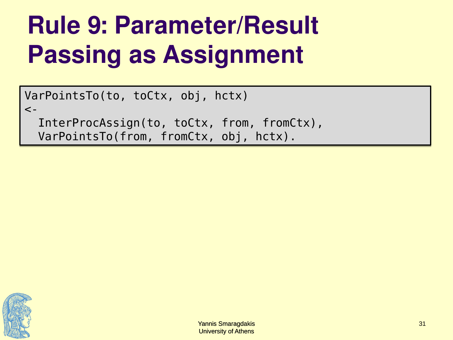## **Rule 9: Parameter/Result Passing as Assignment**

VarPointsTo(to, toCtx, obj, hctx) VarPointsTo(to, toCtx, obj, hctx)  $\lt$  -

 InterProcAssign(to, toCtx, from, fromCtx), InterProcAssign(to, toCtx, from, fromCtx), VarPointsTo(from, fromCtx, obj, hctx). VarPointsTo(from, fromCtx, obj, hctx).

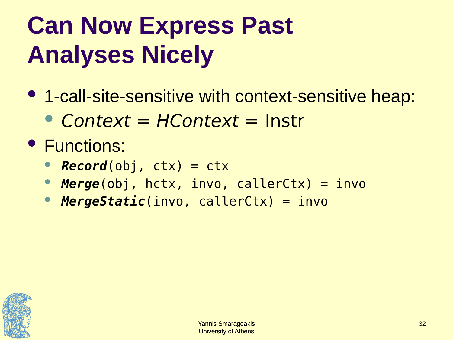## **Can Now Express Past Analyses Nicely**

- 1-call-site-sensitive with context-sensitive heap:
	- Context = HContext = Instr
- **Functions:** 
	- *Record*(obj, ctx) = ctx
	- *Merge*(obj, hctx, invo, callerCtx) = invo
	- *MergeStatic*(invo, callerCtx) = invo

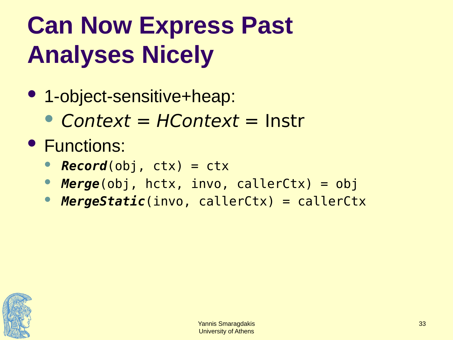## **Can Now Express Past Analyses Nicely**

- 1-object-sensitive+heap:
	- Context = HContext = Instr
- **Functions:** 
	- *Record*(obj, ctx) = ctx
	- *Merge*(obj, hctx, invo, callerCtx) = obj
	- *MergeStatic*(invo, callerCtx) = callerCtx

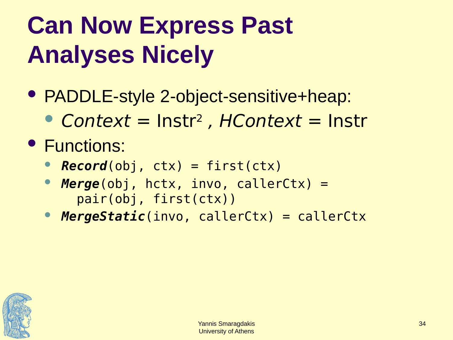## **Can Now Express Past Analyses Nicely**

- PADDLE-style 2-object-sensitive+heap:
	- Context = Instr<sup>2</sup>, HContext = Instr
- **Functions:** 
	- *Record*(obj, ctx) = first(ctx)
	- *Merge*(obj, hctx, invo, callerCtx) = pair(obj, first(ctx))
	- *MergeStatic*(invo, callerCtx) = callerCtx